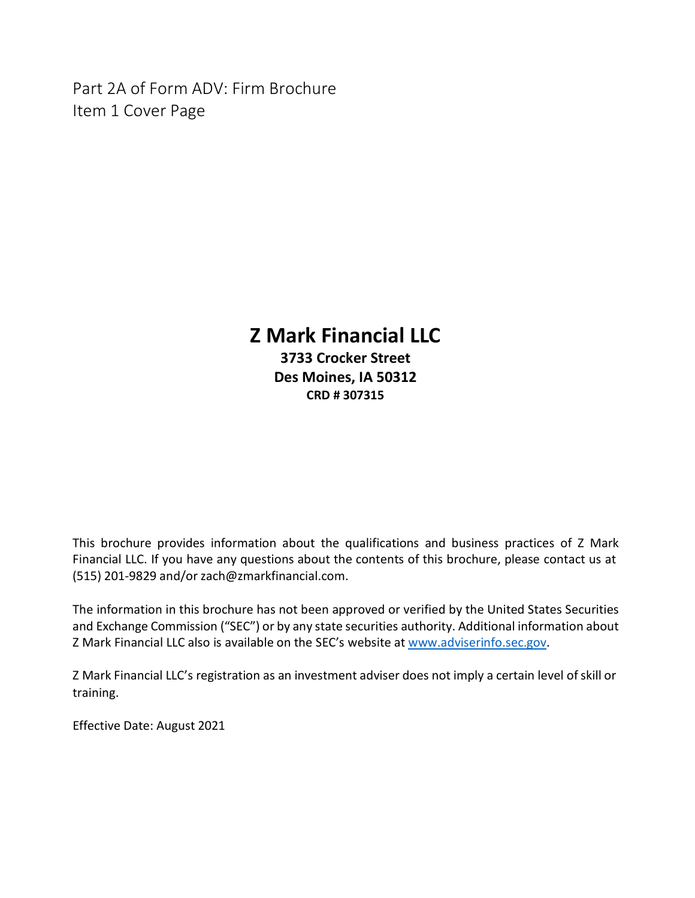<span id="page-0-0"></span>Part 2A of Form ADV: Firm Brochure Item 1 Cover Page

# **Z Mark Financial LLC**

**3733 Crocker Street Des Moines, IA 50312 CRD # 307315**

This brochure provides information about the qualifications and business practices of Z Mark Financial LLC. If you have any questions about the contents of this brochure, please contact us at (515) 201-9829 and/or [zach@zmarkfinancial.com.](mailto:zach@zmarkfinancial.com)

The information in this brochure has not been approved or verified by the United States Securities and Exchange Commission ("SEC") or by any state securities authority. Additional information about Z Mark Financial LLC also is available on the SEC's website at [www.adviserinfo.sec.gov.](http://www.adviserinfo.sec.gov/)

Z Mark Financial LLC's registration as an investment adviser does not imply a certain level ofskill or training.

Effective Date: August 2021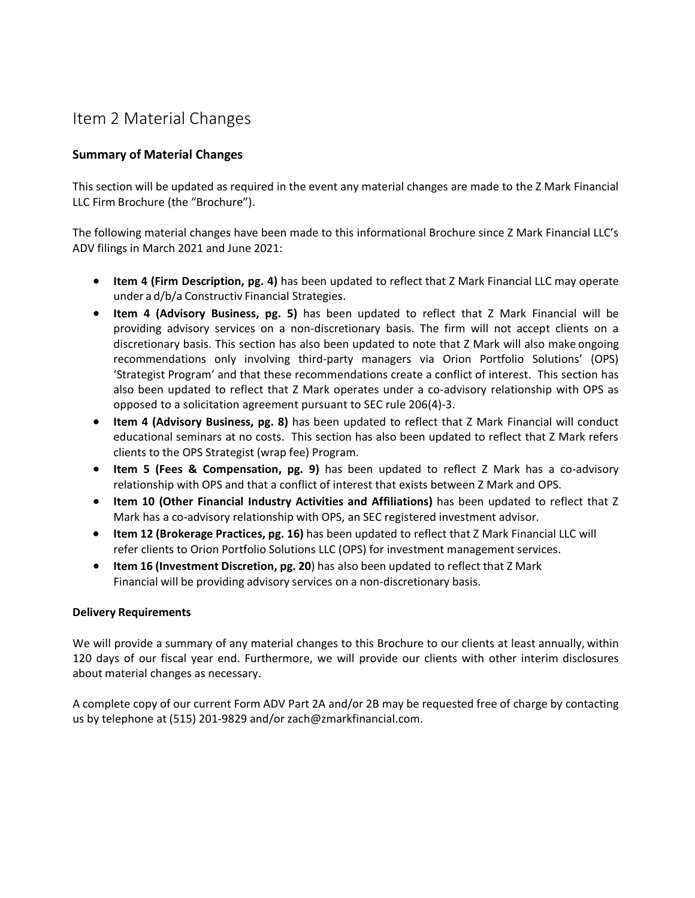# <span id="page-1-0"></span>Item 2 Material Changes

### **Summary of Material Changes**

This section will be updated as required in the event any material changes are made to the Z Mark Financial LLC Firm Brochure (the "Brochure").

The following material changes have been made to this informational Brochure since Z Mark Financial LLC's ADV filings in March 2021 and June 2021:

- **Item 4 (Firm Description, pg. 4)** has been updated to reflect that Z Mark Financial LLC may operate under a d/b/a Constructiv Financial Strategies.
- **Item 4 (Advisory Business, pg. 5)** has been updated to reflect that Z Mark Financial will be providing advisory services on a non-discretionary basis. The firm will not accept clients on a discretionary basis. This section has also been updated to note that Z Mark will also make ongoing recommendations only involving third-party managers via Orion Portfolio Solutions' (OPS) 'Strategist Program' and that these recommendations create a conflict of interest. This section has also been updated to reflect that Z Mark operates under a co-advisory relationship with OPS as opposed to a solicitation agreement pursuant to SEC rule 206(4)-3.
- **Item 4 (Advisory Business, pg. 8)** has been updated to reflect that Z Mark Financial will conduct educational seminars at no costs. This section has also been updated to reflect that Z Mark refers clients to the OPS Strategist (wrap fee) Program.
- **Item 5 (Fees & Compensation, pg. 9)** has been updated to reflect Z Mark has a co-advisory relationship with OPS and that a conflict of interest that exists between Z Mark and OPS.
- **Item 10 (Other Financial Industry Activities and Affiliations)** has been updated to reflect that Z Mark has a co-advisory relationship with OPS, an SEC registered investment advisor.
- **Item 12 (Brokerage Practices, pg. 16)** has been updated to reflect that Z Mark Financial LLC will refer clients to Orion Portfolio Solutions LLC (OPS) for investment management services.
- **Item 16 (Investment Discretion, pg. 20**) has also been updated to reflect that Z Mark Financial will be providing advisory services on a non-discretionary basis.

### **Delivery Requirements**

We will provide a summary of any material changes to this Brochure to our clients at least annually, within 120 days of our fiscal year end. Furthermore, we will provide our clients with other interim disclosures about material changes as necessary.

A complete copy of our current Form ADV Part 2A and/or 2B may be requested free of charge by contacting us by telephone at (515) 201-9829 and/or [zach@zmarkfinancial.com.](mailto:zach@zmarkfinancial.com)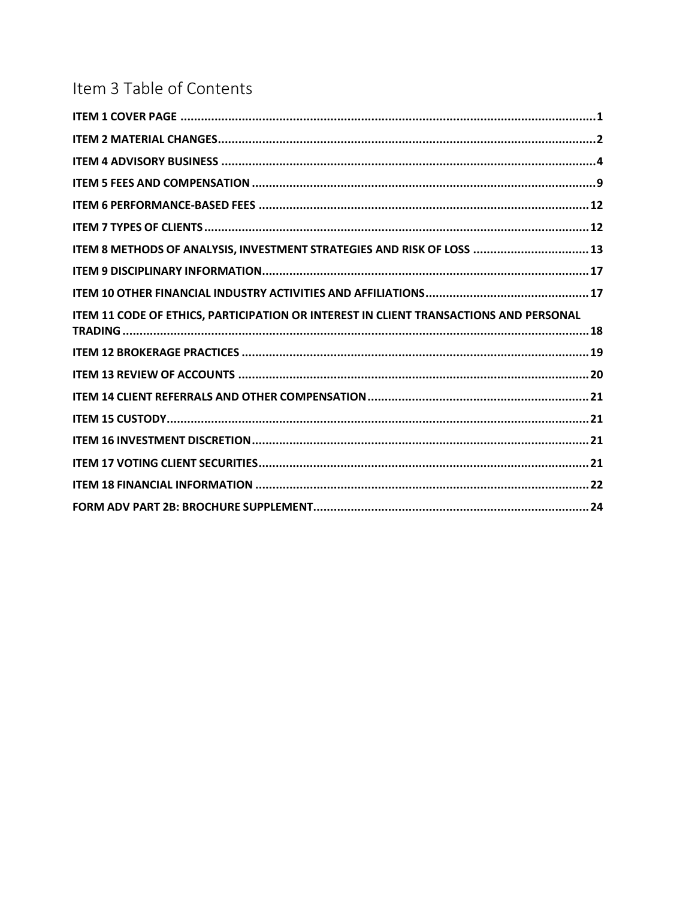# Item 3 Table of Contents

| ITEM 8 METHODS OF ANALYSIS, INVESTMENT STRATEGIES AND RISK OF LOSS  13                |  |
|---------------------------------------------------------------------------------------|--|
|                                                                                       |  |
|                                                                                       |  |
| ITEM 11 CODE OF ETHICS, PARTICIPATION OR INTEREST IN CLIENT TRANSACTIONS AND PERSONAL |  |
|                                                                                       |  |
|                                                                                       |  |
|                                                                                       |  |
|                                                                                       |  |
|                                                                                       |  |
|                                                                                       |  |
|                                                                                       |  |
|                                                                                       |  |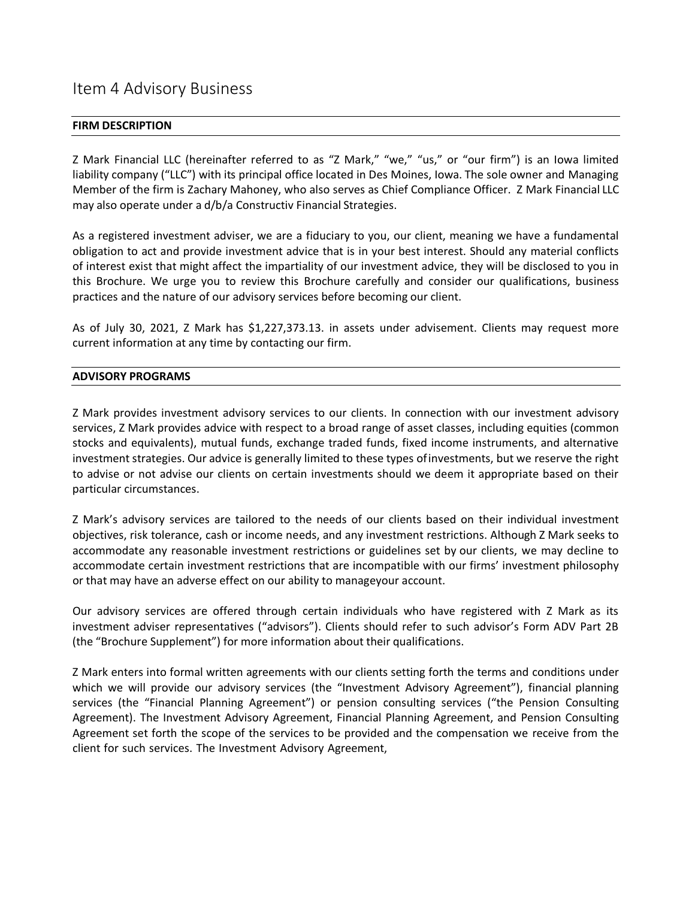## <span id="page-3-0"></span>Item 4 Advisory Business

### **FIRM DESCRIPTION**

Z Mark Financial LLC (hereinafter referred to as "Z Mark," "we," "us," or "our firm") is an Iowa limited liability company ("LLC") with its principal office located in Des Moines, Iowa. The sole owner and Managing Member of the firm is Zachary Mahoney, who also serves as Chief Compliance Officer. Z Mark Financial LLC may also operate under a d/b/a Constructiv Financial Strategies.

As a registered investment adviser, we are a fiduciary to you, our client, meaning we have a fundamental obligation to act and provide investment advice that is in your best interest. Should any material conflicts of interest exist that might affect the impartiality of our investment advice, they will be disclosed to you in this Brochure. We urge you to review this Brochure carefully and consider our qualifications, business practices and the nature of our advisory services before becoming our client.

As of July 30, 2021, Z Mark has \$1,227,373.13. in assets under advisement. Clients may request more current information at any time by contacting our firm.

### **ADVISORY PROGRAMS**

Z Mark provides investment advisory services to our clients. In connection with our investment advisory services, Z Mark provides advice with respect to a broad range of asset classes, including equities (common stocks and equivalents), mutual funds, exchange traded funds, fixed income instruments, and alternative investment strategies. Our advice is generally limited to these types of investments, but we reserve the right to advise or not advise our clients on certain investments should we deem it appropriate based on their particular circumstances.

Z Mark's advisory services are tailored to the needs of our clients based on their individual investment objectives, risk tolerance, cash or income needs, and any investment restrictions. Although Z Mark seeks to accommodate any reasonable investment restrictions or guidelines set by our clients, we may decline to accommodate certain investment restrictions that are incompatible with our firms' investment philosophy or that may have an adverse effect on our ability to manageyour account.

Our advisory services are offered through certain individuals who have registered with Z Mark as its investment adviser representatives ("advisors"). Clients should refer to such advisor's Form ADV Part 2B (the "Brochure Supplement") for more information about their qualifications.

Z Mark enters into formal written agreements with our clients setting forth the terms and conditions under which we will provide our advisory services (the "Investment Advisory Agreement"), financial planning services (the "Financial Planning Agreement") or pension consulting services ("the Pension Consulting Agreement). The Investment Advisory Agreement, Financial Planning Agreement, and Pension Consulting Agreement set forth the scope of the services to be provided and the compensation we receive from the client for such services. The Investment Advisory Agreement,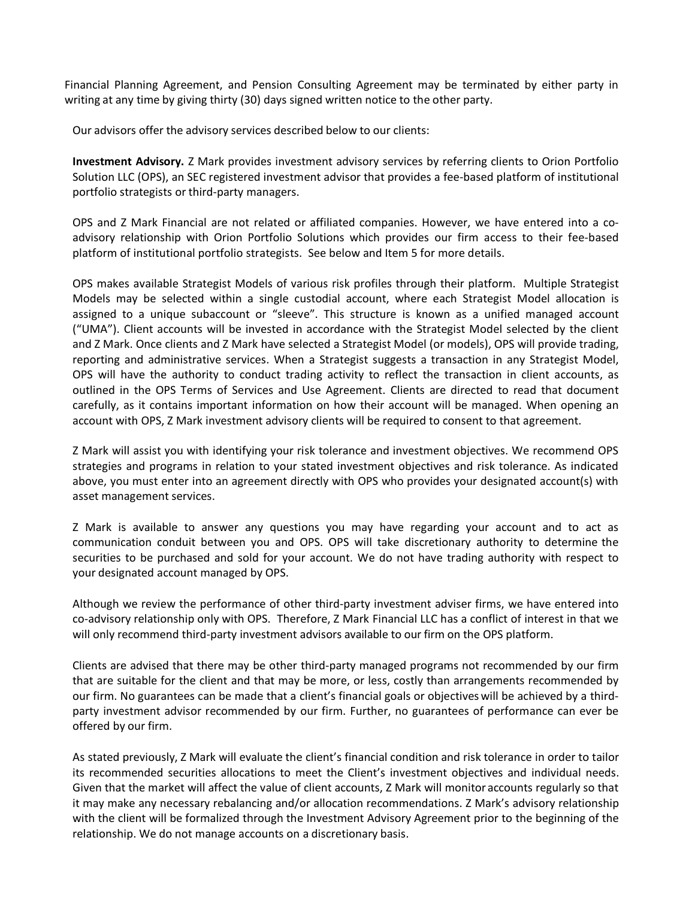Financial Planning Agreement, and Pension Consulting Agreement may be terminated by either party in writing at any time by giving thirty (30) days signed written notice to the other party.

Our advisors offer the advisory services described below to our clients:

**Investment Advisory.** Z Mark provides investment advisory services by referring clients to Orion Portfolio Solution LLC (OPS), an SEC registered investment advisor that provides a fee-based platform of institutional portfolio strategists or third-party managers.

OPS and Z Mark Financial are not related or affiliated companies. However, we have entered into a coadvisory relationship with Orion Portfolio Solutions which provides our firm access to their fee-based platform of institutional portfolio strategists. See below and Item 5 for more details.

OPS makes available Strategist Models of various risk profiles through their platform. Multiple Strategist Models may be selected within a single custodial account, where each Strategist Model allocation is assigned to a unique subaccount or "sleeve". This structure is known as a unified managed account ("UMA"). Client accounts will be invested in accordance with the Strategist Model selected by the client and Z Mark. Once clients and Z Mark have selected a Strategist Model (or models), OPS will provide trading, reporting and administrative services. When a Strategist suggests a transaction in any Strategist Model, OPS will have the authority to conduct trading activity to reflect the transaction in client accounts, as outlined in the OPS Terms of Services and Use Agreement. Clients are directed to read that document carefully, as it contains important information on how their account will be managed. When opening an account with OPS, Z Mark investment advisory clients will be required to consent to that agreement.

Z Mark will assist you with identifying your risk tolerance and investment objectives. We recommend OPS strategies and programs in relation to your stated investment objectives and risk tolerance. As indicated above, you must enter into an agreement directly with OPS who provides your designated account(s) with asset management services.

Z Mark is available to answer any questions you may have regarding your account and to act as communication conduit between you and OPS. OPS will take discretionary authority to determine the securities to be purchased and sold for your account. We do not have trading authority with respect to your designated account managed by OPS.

Although we review the performance of other third-party investment adviser firms, we have entered into co-advisory relationship only with OPS. Therefore, Z Mark Financial LLC has a conflict of interest in that we will only recommend third-party investment advisors available to our firm on the OPS platform.

Clients are advised that there may be other third-party managed programs not recommended by our firm that are suitable for the client and that may be more, or less, costly than arrangements recommended by our firm. No guarantees can be made that a client's financial goals or objectiveswill be achieved by a thirdparty investment advisor recommended by our firm. Further, no guarantees of performance can ever be offered by our firm.

As stated previously, Z Mark will evaluate the client's financial condition and risk tolerance in order to tailor its recommended securities allocations to meet the Client's investment objectives and individual needs. Given that the market will affect the value of client accounts, Z Mark will monitor accounts regularly so that it may make any necessary rebalancing and/or allocation recommendations. Z Mark's advisory relationship with the client will be formalized through the Investment Advisory Agreement prior to the beginning of the relationship. We do not manage accounts on a discretionary basis.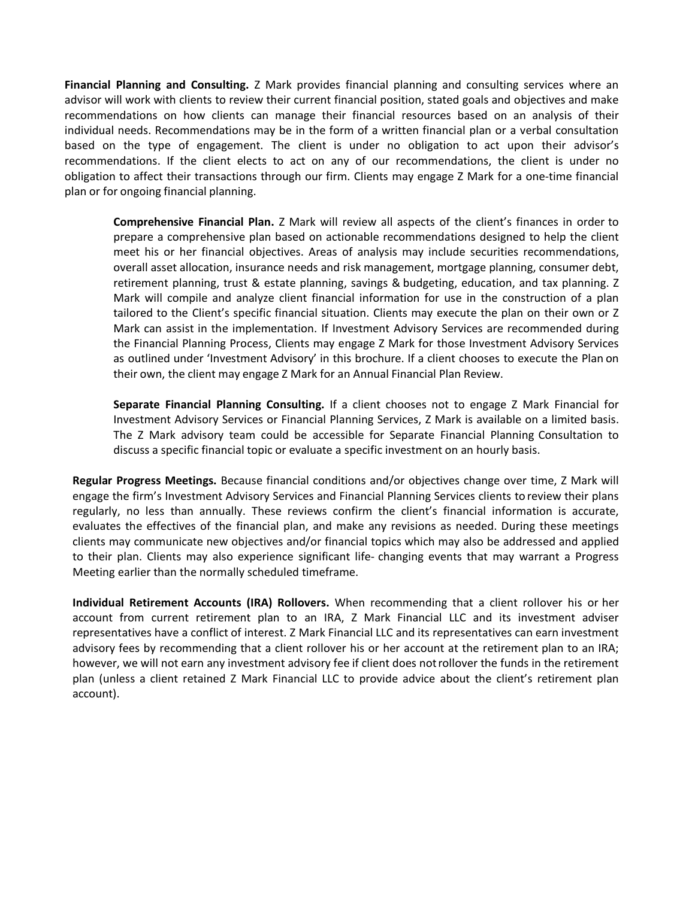**Financial Planning and Consulting.** Z Mark provides financial planning and consulting services where an advisor will work with clients to review their current financial position, stated goals and objectives and make recommendations on how clients can manage their financial resources based on an analysis of their individual needs. Recommendations may be in the form of a written financial plan or a verbal consultation based on the type of engagement. The client is under no obligation to act upon their advisor's recommendations. If the client elects to act on any of our recommendations, the client is under no obligation to affect their transactions through our firm. Clients may engage Z Mark for a one-time financial plan or for ongoing financial planning.

**Comprehensive Financial Plan.** Z Mark will review all aspects of the client's finances in order to prepare a comprehensive plan based on actionable recommendations designed to help the client meet his or her financial objectives. Areas of analysis may include securities recommendations, overall asset allocation, insurance needs and risk management, mortgage planning, consumer debt, retirement planning, trust & estate planning, savings & budgeting, education, and tax planning. Z Mark will compile and analyze client financial information for use in the construction of a plan tailored to the Client's specific financial situation. Clients may execute the plan on their own or Z Mark can assist in the implementation. If Investment Advisory Services are recommended during the Financial Planning Process, Clients may engage Z Mark for those Investment Advisory Services as outlined under 'Investment Advisory' in this brochure. If a client chooses to execute the Plan on their own, the client may engage Z Mark for an Annual Financial Plan Review.

**Separate Financial Planning Consulting.** If a client chooses not to engage Z Mark Financial for Investment Advisory Services or Financial Planning Services, Z Mark is available on a limited basis. The Z Mark advisory team could be accessible for Separate Financial Planning Consultation to discuss a specific financial topic or evaluate a specific investment on an hourly basis.

**Regular Progress Meetings.** Because financial conditions and/or objectives change over time, Z Mark will engage the firm's Investment Advisory Services and Financial Planning Services clients to review their plans regularly, no less than annually. These reviews confirm the client's financial information is accurate, evaluates the effectives of the financial plan, and make any revisions as needed. During these meetings clients may communicate new objectives and/or financial topics which may also be addressed and applied to their plan. Clients may also experience significant life- changing events that may warrant a Progress Meeting earlier than the normally scheduled timeframe.

**Individual Retirement Accounts (IRA) Rollovers.** When recommending that a client rollover his or her account from current retirement plan to an IRA, Z Mark Financial LLC and its investment adviser representatives have a conflict of interest. Z Mark Financial LLC and its representatives can earn investment advisory fees by recommending that a client rollover his or her account at the retirement plan to an IRA; however, we will not earn any investment advisory fee if client does notrollover the funds in the retirement plan (unless a client retained Z Mark Financial LLC to provide advice about the client's retirement plan account).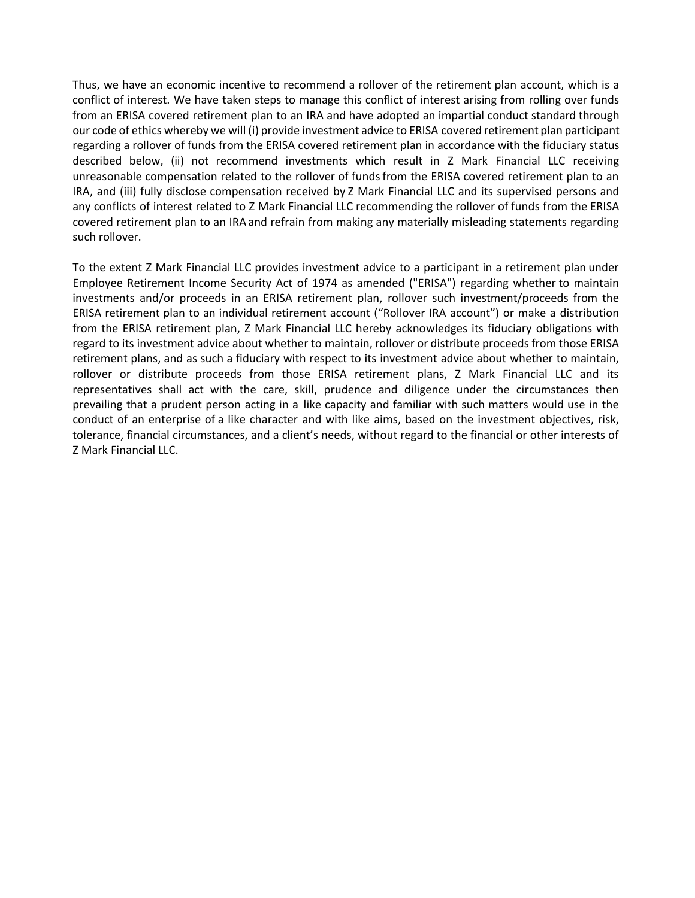Thus, we have an economic incentive to recommend a rollover of the retirement plan account, which is a conflict of interest. We have taken steps to manage this conflict of interest arising from rolling over funds from an ERISA covered retirement plan to an IRA and have adopted an impartial conduct standard through our code of ethics whereby we will (i) provide investment advice to ERISA covered retirement plan participant regarding a rollover of funds from the ERISA covered retirement plan in accordance with the fiduciary status described below, (ii) not recommend investments which result in Z Mark Financial LLC receiving unreasonable compensation related to the rollover of fundsfrom the ERISA covered retirement plan to an IRA, and (iii) fully disclose compensation received by Z Mark Financial LLC and its supervised persons and any conflicts of interest related to Z Mark Financial LLC recommending the rollover of funds from the ERISA covered retirement plan to an IRA and refrain from making any materially misleading statements regarding such rollover.

To the extent Z Mark Financial LLC provides investment advice to a participant in a retirement plan under Employee Retirement Income Security Act of 1974 as amended ("ERISA") regarding whether to maintain investments and/or proceeds in an ERISA retirement plan, rollover such investment/proceeds from the ERISA retirement plan to an individual retirement account ("Rollover IRA account") or make a distribution from the ERISA retirement plan, Z Mark Financial LLC hereby acknowledges its fiduciary obligations with regard to its investment advice about whether to maintain, rollover or distribute proceeds from those ERISA retirement plans, and as such a fiduciary with respect to its investment advice about whether to maintain, rollover or distribute proceeds from those ERISA retirement plans, Z Mark Financial LLC and its representatives shall act with the care, skill, prudence and diligence under the circumstances then prevailing that a prudent person acting in a like capacity and familiar with such matters would use in the conduct of an enterprise of a like character and with like aims, based on the investment objectives, risk, tolerance, financial circumstances, and a client's needs, without regard to the financial or other interests of Z Mark Financial LLC.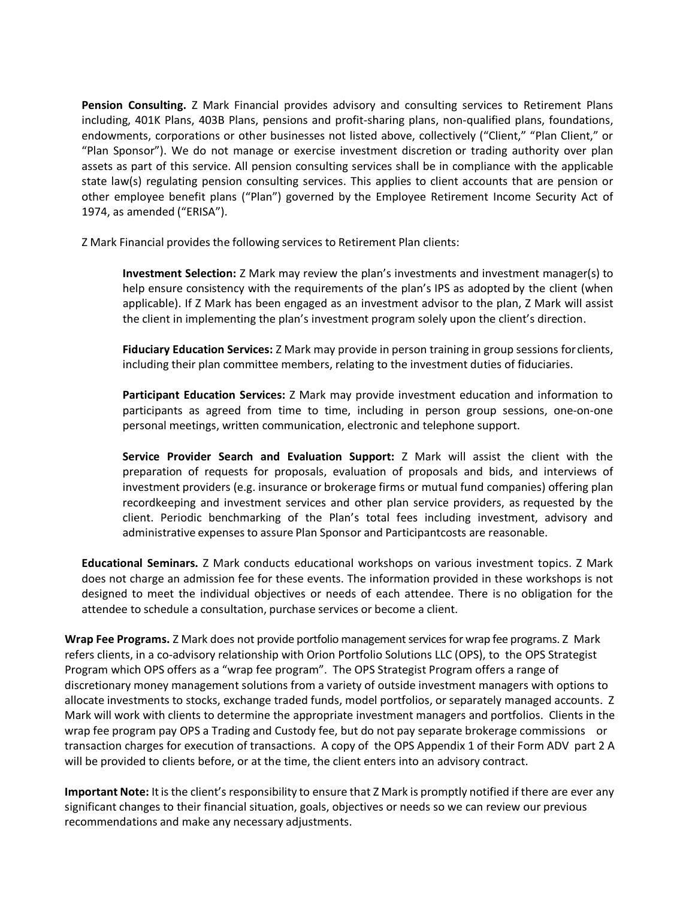**Pension Consulting.** Z Mark Financial provides advisory and consulting services to Retirement Plans including, 401K Plans, 403B Plans, pensions and profit-sharing plans, non-qualified plans, foundations, endowments, corporations or other businesses not listed above, collectively ("Client," "Plan Client," or "Plan Sponsor"). We do not manage or exercise investment discretion or trading authority over plan assets as part of this service. All pension consulting services shall be in compliance with the applicable state law(s) regulating pension consulting services. This applies to client accounts that are pension or other employee benefit plans ("Plan") governed by the Employee Retirement Income Security Act of 1974, as amended ("ERISA").

Z Mark Financial provides the following services to Retirement Plan clients:

**Investment Selection:** Z Mark may review the plan's investments and investment manager(s) to help ensure consistency with the requirements of the plan's IPS as adopted by the client (when applicable). If Z Mark has been engaged as an investment advisor to the plan, Z Mark will assist the client in implementing the plan's investment program solely upon the client's direction.

**Fiduciary Education Services:** Z Mark may provide in person training in group sessions for clients, including their plan committee members, relating to the investment duties of fiduciaries.

**Participant Education Services:** Z Mark may provide investment education and information to participants as agreed from time to time, including in person group sessions, one-on-one personal meetings, written communication, electronic and telephone support.

**Service Provider Search and Evaluation Support:** Z Mark will assist the client with the preparation of requests for proposals, evaluation of proposals and bids, and interviews of investment providers (e.g. insurance or brokerage firms or mutual fund companies) offering plan recordkeeping and investment services and other plan service providers, as requested by the client. Periodic benchmarking of the Plan's total fees including investment, advisory and administrative expensesto assure Plan Sponsor and Participantcosts are reasonable.

**Educational Seminars.** Z Mark conducts educational workshops on various investment topics. Z Mark does not charge an admission fee for these events. The information provided in these workshops is not designed to meet the individual objectives or needs of each attendee. There is no obligation for the attendee to schedule a consultation, purchase services or become a client.

**Wrap Fee Programs.** Z Mark does not provide portfolio management services for wrap fee programs. Z Mark refers clients, in a co-advisory relationship with Orion Portfolio Solutions LLC (OPS), to the OPS Strategist Program which OPS offers as a "wrap fee program". The OPS Strategist Program offers a range of discretionary money management solutions from a variety of outside investment managers with options to allocate investments to stocks, exchange traded funds, model portfolios, or separately managed accounts. Z Mark will work with clients to determine the appropriate investment managers and portfolios. Clients in the wrap fee program pay OPS a Trading and Custody fee, but do not pay separate brokerage commissions or transaction charges for execution of transactions. A copy of the OPS Appendix 1 of their Form ADV part 2 A will be provided to clients before, or at the time, the client enters into an advisory contract.

**Important Note:** Itisthe client's responsibility to ensure that Z Mark is promptly notified if there are ever any significant changes to their financial situation, goals, objectives or needs so we can review our previous recommendations and make any necessary adjustments.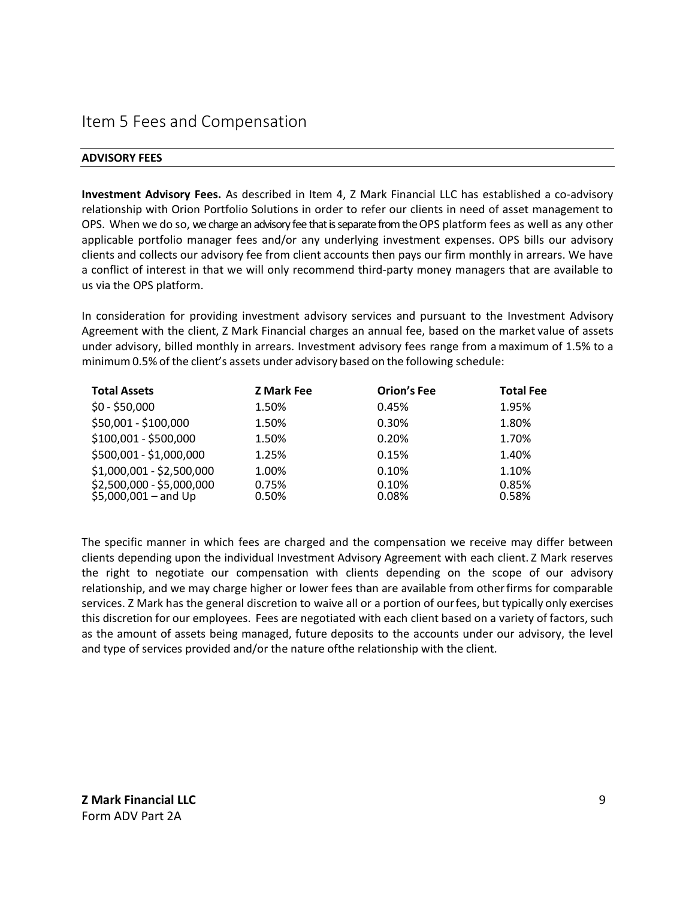## <span id="page-8-0"></span>Item 5 Fees and Compensation

### **ADVISORY FEES**

**Investment Advisory Fees.** As described in Item 4, Z Mark Financial LLC has established a co-advisory relationship with Orion Portfolio Solutions in order to refer our clients in need of asset management to OPS. When we do so, we charge an advisory fee that is separate from the OPS platform fees as well as any other applicable portfolio manager fees and/or any underlying investment expenses. OPS bills our advisory clients and collects our advisory fee from client accounts then pays our firm monthly in arrears. We have a conflict of interest in that we will only recommend third-party money managers that are available to us via the OPS platform.

In consideration for providing investment advisory services and pursuant to the Investment Advisory Agreement with the client, Z Mark Financial charges an annual fee, based on the market value of assets under advisory, billed monthly in arrears. Investment advisory fees range from amaximum of 1.5% to a minimum 0.5% of the client's assets under advisory based on the following schedule:

| <b>Total Assets</b>                                | <b>Z Mark Fee</b> | <b>Orion's Fee</b> | <b>Total Fee</b> |
|----------------------------------------------------|-------------------|--------------------|------------------|
| $$0 - $50,000$                                     | 1.50%             | 0.45%              | 1.95%            |
| \$50,001 - \$100,000                               | 1.50%             | 0.30%              | 1.80%            |
| \$100,001 - \$500,000                              | 1.50%             | 0.20%              | 1.70%            |
| \$500,001 - \$1,000,000                            | 1.25%             | 0.15%              | 1.40%            |
| \$1,000,001 - \$2,500,000                          | 1.00%             | 0.10%              | 1.10%            |
| \$2,500,000 - \$5,000,000<br>$$5,000,001 - and Up$ | 0.75%<br>0.50%    | 0.10%<br>0.08%     | 0.85%<br>0.58%   |

The specific manner in which fees are charged and the compensation we receive may differ between clients depending upon the individual Investment Advisory Agreement with each client. Z Mark reserves the right to negotiate our compensation with clients depending on the scope of our advisory relationship, and we may charge higher or lower fees than are available from otherfirms for comparable services. Z Mark has the general discretion to waive all or a portion of ourfees, but typically only exercises this discretion for our employees. Fees are negotiated with each client based on a variety of factors, such as the amount of assets being managed, future deposits to the accounts under our advisory, the level and type of services provided and/or the nature ofthe relationship with the client.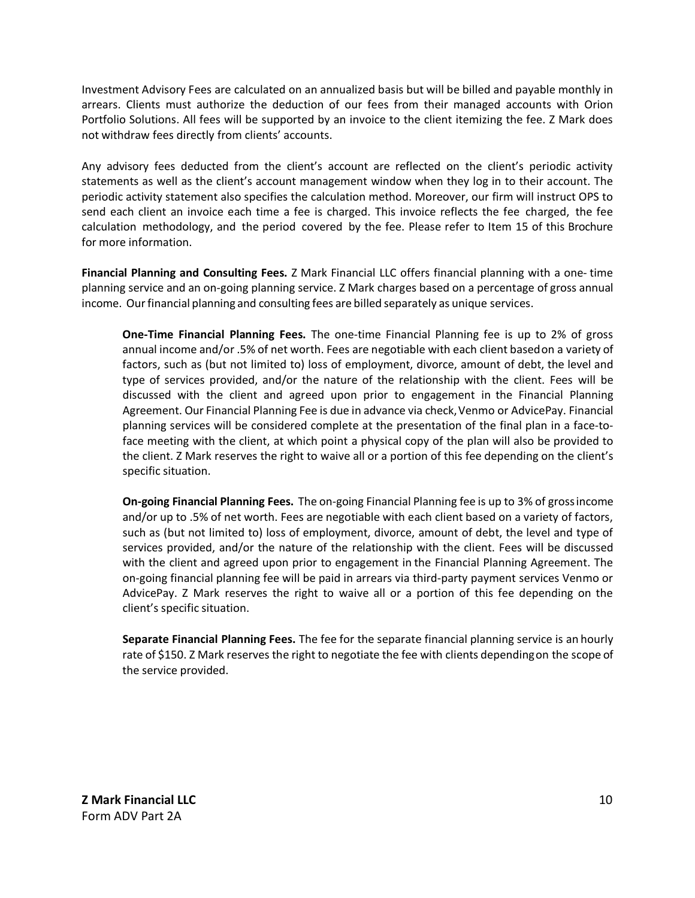Investment Advisory Fees are calculated on an annualized basis but will be billed and payable monthly in arrears. Clients must authorize the deduction of our fees from their managed accounts with Orion Portfolio Solutions. All fees will be supported by an invoice to the client itemizing the fee. Z Mark does not withdraw fees directly from clients' accounts.

Any advisory fees deducted from the client's account are reflected on the client's periodic activity statements as well as the client's account management window when they log in to their account. The periodic activity statement also specifies the calculation method. Moreover, our firm will instruct OPS to send each client an invoice each time a fee is charged. This invoice reflects the fee charged, the fee calculation methodology, and the period covered by the fee. Please refer to Item 15 of this Brochure for more information.

**Financial Planning and Consulting Fees.** Z Mark Financial LLC offers financial planning with a one- time planning service and an on-going planning service. Z Mark charges based on a percentage of gross annual income. Our financial planning and consulting fees are billed separately as unique services.

**One-Time Financial Planning Fees.** The one-time Financial Planning fee is up to 2% of gross annual income and/or .5% of net worth. Fees are negotiable with each client basedon a variety of factors, such as (but not limited to) loss of employment, divorce, amount of debt, the level and type of services provided, and/or the nature of the relationship with the client. Fees will be discussed with the client and agreed upon prior to engagement in the Financial Planning Agreement. Our Financial Planning Fee is due in advance via check,Venmo or AdvicePay. Financial planning services will be considered complete at the presentation of the final plan in a face-toface meeting with the client, at which point a physical copy of the plan will also be provided to the client. Z Mark reserves the right to waive all or a portion of this fee depending on the client's specific situation.

**On-going Financial Planning Fees.** The on-going Financial Planning fee is up to 3% of grossincome and/or up to .5% of net worth. Fees are negotiable with each client based on a variety of factors, such as (but not limited to) loss of employment, divorce, amount of debt, the level and type of services provided, and/or the nature of the relationship with the client. Fees will be discussed with the client and agreed upon prior to engagement in the Financial Planning Agreement. The on-going financial planning fee will be paid in arrears via third-party payment services Venmo or AdvicePay. Z Mark reserves the right to waive all or a portion of this fee depending on the client's specific situation.

**Separate Financial Planning Fees.** The fee for the separate financial planning service is an hourly rate of \$150. Z Mark reserves the right to negotiate the fee with clients dependingon the scope of the service provided.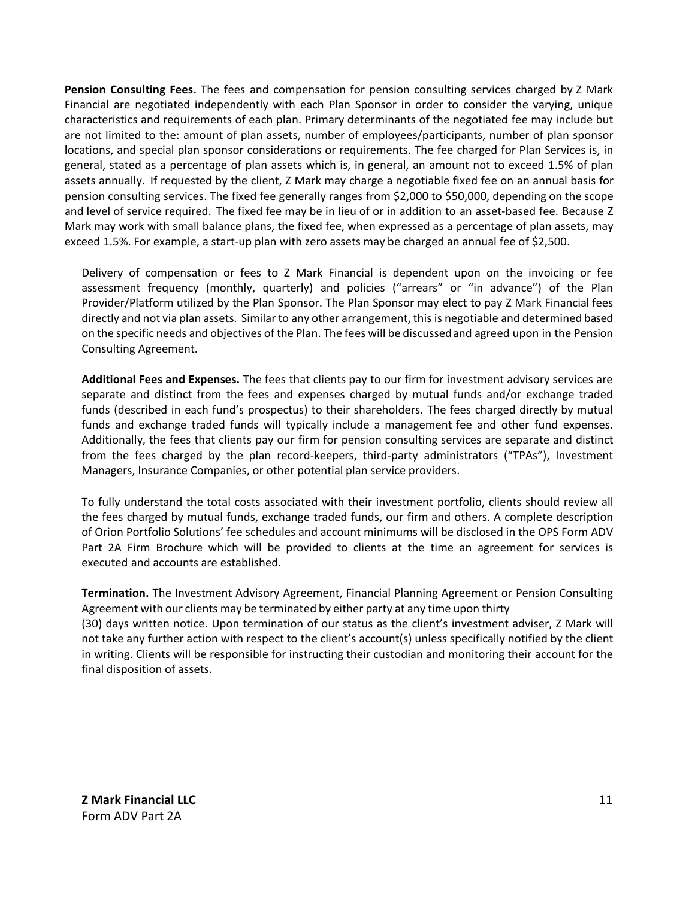**Pension Consulting Fees.** The fees and compensation for pension consulting services charged by Z Mark Financial are negotiated independently with each Plan Sponsor in order to consider the varying, unique characteristics and requirements of each plan. Primary determinants of the negotiated fee may include but are not limited to the: amount of plan assets, number of employees/participants, number of plan sponsor locations, and special plan sponsor considerations or requirements. The fee charged for Plan Services is, in general, stated as a percentage of plan assets which is, in general, an amount not to exceed 1.5% of plan assets annually. If requested by the client, Z Mark may charge a negotiable fixed fee on an annual basis for pension consulting services. The fixed fee generally ranges from \$2,000 to \$50,000, depending on the scope and level of service required. The fixed fee may be in lieu of or in addition to an asset-based fee. Because Z Mark may work with small balance plans, the fixed fee, when expressed as a percentage of plan assets, may exceed 1.5%. For example, a start-up plan with zero assets may be charged an annual fee of \$2,500.

Delivery of compensation or fees to Z Mark Financial is dependent upon on the invoicing or fee assessment frequency (monthly, quarterly) and policies ("arrears" or "in advance") of the Plan Provider/Platform utilized by the Plan Sponsor. The Plan Sponsor may elect to pay Z Mark Financial fees directly and not via plan assets. Similar to any other arrangement, this is negotiable and determined based on the specific needs and objectives of the Plan. The fees will be discussedand agreed upon in the Pension Consulting Agreement.

**Additional Fees and Expenses.** The fees that clients pay to our firm for investment advisory services are separate and distinct from the fees and expenses charged by mutual funds and/or exchange traded funds (described in each fund's prospectus) to their shareholders. The fees charged directly by mutual funds and exchange traded funds will typically include a management fee and other fund expenses. Additionally, the fees that clients pay our firm for pension consulting services are separate and distinct from the fees charged by the plan record-keepers, third-party administrators ("TPAs"), Investment Managers, Insurance Companies, or other potential plan service providers.

To fully understand the total costs associated with their investment portfolio, clients should review all the fees charged by mutual funds, exchange traded funds, our firm and others. A complete description of Orion Portfolio Solutions' fee schedules and account minimums will be disclosed in the OPS Form ADV Part 2A Firm Brochure which will be provided to clients at the time an agreement for services is executed and accounts are established.

**Termination.** The Investment Advisory Agreement, Financial Planning Agreement or Pension Consulting Agreement with our clients may be terminated by either party at any time upon thirty

(30) days written notice. Upon termination of our status as the client's investment adviser, Z Mark will not take any further action with respect to the client's account(s) unless specifically notified by the client in writing. Clients will be responsible for instructing their custodian and monitoring their account for the final disposition of assets.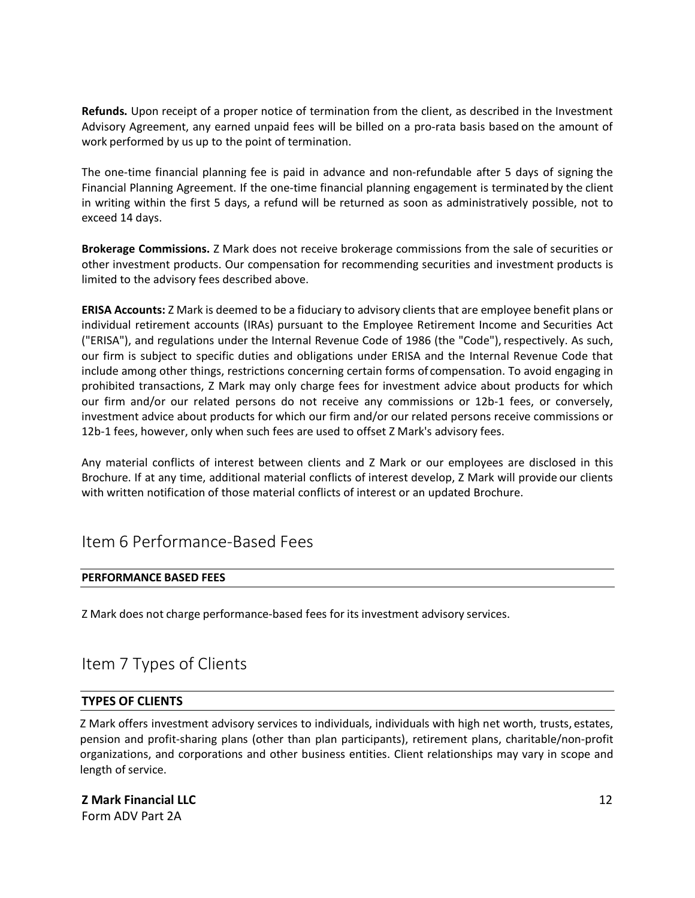**Refunds.** Upon receipt of a proper notice of termination from the client, as described in the Investment Advisory Agreement, any earned unpaid fees will be billed on a pro-rata basis based on the amount of work performed by us up to the point of termination.

The one-time financial planning fee is paid in advance and non-refundable after 5 days of signing the Financial Planning Agreement. If the one-time financial planning engagement is terminated by the client in writing within the first 5 days, a refund will be returned as soon as administratively possible, not to exceed 14 days.

**Brokerage Commissions.** Z Mark does not receive brokerage commissions from the sale of securities or other investment products. Our compensation for recommending securities and investment products is limited to the advisory fees described above.

**ERISA Accounts:** Z Mark is deemed to be a fiduciary to advisory clients that are employee benefit plans or individual retirement accounts (IRAs) pursuant to the Employee Retirement Income and Securities Act ("ERISA"), and regulations under the Internal Revenue Code of 1986 (the "Code"), respectively. As such, our firm is subject to specific duties and obligations under ERISA and the Internal Revenue Code that include among other things, restrictions concerning certain forms of compensation. To avoid engaging in prohibited transactions, Z Mark may only charge fees for investment advice about products for which our firm and/or our related persons do not receive any commissions or 12b-1 fees, or conversely, investment advice about products for which our firm and/or our related persons receive commissions or 12b-1 fees, however, only when such fees are used to offset Z Mark's advisory fees.

Any material conflicts of interest between clients and Z Mark or our employees are disclosed in this Brochure. If at any time, additional material conflicts of interest develop, Z Mark will provide our clients with written notification of those material conflicts of interest or an updated Brochure.

## <span id="page-11-0"></span>Item 6 Performance-Based Fees

### **PERFORMANCE BASED FEES**

Z Mark does not charge performance-based fees for its investment advisory services.

# <span id="page-11-1"></span>Item 7 Types of Clients

### **TYPES OF CLIENTS**

Z Mark offers investment advisory services to individuals, individuals with high net worth, trusts, estates, pension and profit-sharing plans (other than plan participants), retirement plans, charitable/non-profit organizations, and corporations and other business entities. Client relationships may vary in scope and length of service.

### **Z Mark Financial LLC**

Form ADV Part 2A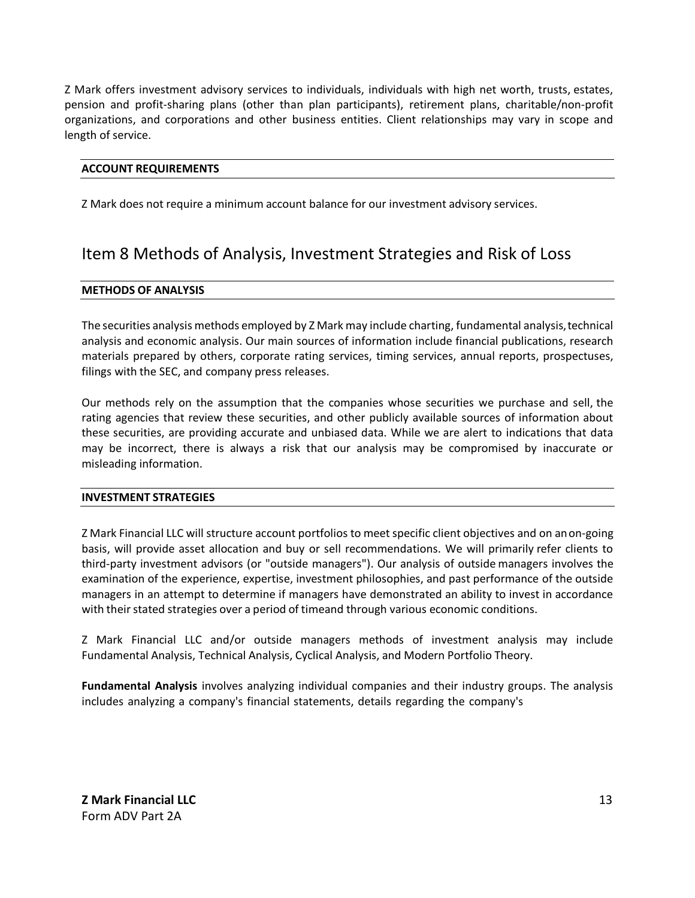Z Mark offers investment advisory services to individuals, individuals with high net worth, trusts, estates, pension and profit-sharing plans (other than plan participants), retirement plans, charitable/non-profit organizations, and corporations and other business entities. Client relationships may vary in scope and length of service.

### **ACCOUNT REQUIREMENTS**

Z Mark does not require a minimum account balance for our investment advisory services.

# <span id="page-12-0"></span>Item 8 Methods of Analysis, Investment Strategies and Risk of Loss

#### **METHODS OF ANALYSIS**

The securities analysis methods employed by Z Mark may include charting, fundamental analysis,technical analysis and economic analysis. Our main sources of information include financial publications, research materials prepared by others, corporate rating services, timing services, annual reports, prospectuses, filings with the SEC, and company press releases.

Our methods rely on the assumption that the companies whose securities we purchase and sell, the rating agencies that review these securities, and other publicly available sources of information about these securities, are providing accurate and unbiased data. While we are alert to indications that data may be incorrect, there is always a risk that our analysis may be compromised by inaccurate or misleading information.

#### **INVESTMENT STRATEGIES**

Z Mark Financial LLC will structure account portfolios to meet specific client objectives and on anon-going basis, will provide asset allocation and buy or sell recommendations. We will primarily refer clients to third-party investment advisors (or "outside managers"). Our analysis of outside managers involves the examination of the experience, expertise, investment philosophies, and past performance of the outside managers in an attempt to determine if managers have demonstrated an ability to invest in accordance with their stated strategies over a period of timeand through various economic conditions.

Z Mark Financial LLC and/or outside managers methods of investment analysis may include Fundamental Analysis, Technical Analysis, Cyclical Analysis, and Modern Portfolio Theory.

**Fundamental Analysis** involves analyzing individual companies and their industry groups. The analysis includes analyzing a company's financial statements, details regarding the company's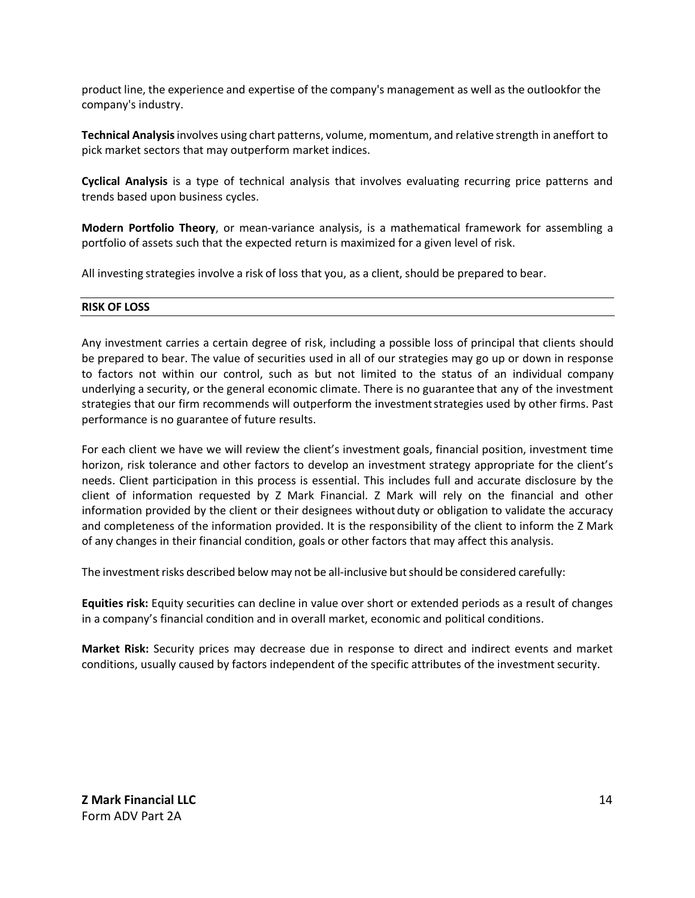product line, the experience and expertise of the company's management as well as the outlookfor the company's industry.

**Technical Analysis**involves using chart patterns, volume, momentum, and relative strength in aneffort to pick market sectors that may outperform market indices.

**Cyclical Analysis** is a type of technical analysis that involves evaluating recurring price patterns and trends based upon business cycles.

**Modern Portfolio Theory**, or mean-variance analysis, is a mathematical framework for assembling a portfolio of assets such that the expected return is maximized for a given level of risk.

All investing strategies involve a risk of loss that you, as a client, should be prepared to bear.

#### **RISK OF LOSS**

Any investment carries a certain degree of risk, including a possible loss of principal that clients should be prepared to bear. The value of securities used in all of our strategies may go up or down in response to factors not within our control, such as but not limited to the status of an individual company underlying a security, or the general economic climate. There is no guarantee that any of the investment strategies that our firm recommends will outperform the investmentstrategies used by other firms. Past performance is no guarantee of future results.

For each client we have we will review the client's investment goals, financial position, investment time horizon, risk tolerance and other factors to develop an investment strategy appropriate for the client's needs. Client participation in this process is essential. This includes full and accurate disclosure by the client of information requested by Z Mark Financial. Z Mark will rely on the financial and other information provided by the client or their designees without duty or obligation to validate the accuracy and completeness of the information provided. It is the responsibility of the client to inform the Z Mark of any changes in their financial condition, goals or other factors that may affect this analysis.

The investment risks described below may not be all-inclusive but should be considered carefully:

**Equities risk:** Equity securities can decline in value over short or extended periods as a result of changes in a company's financial condition and in overall market, economic and political conditions.

**Market Risk:** Security prices may decrease due in response to direct and indirect events and market conditions, usually caused by factors independent of the specific attributes of the investment security.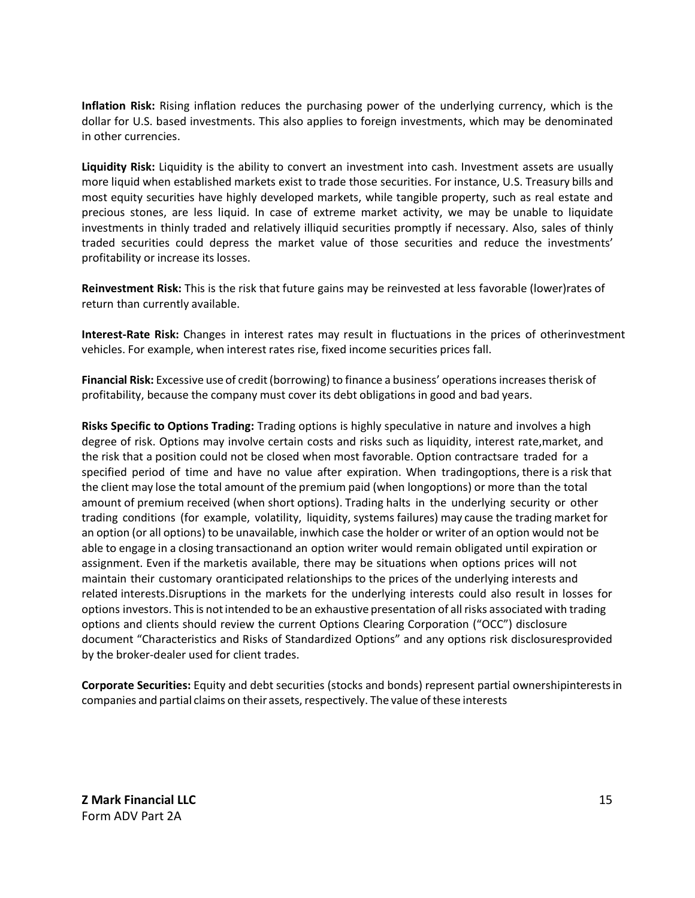**Inflation Risk:** Rising inflation reduces the purchasing power of the underlying currency, which is the dollar for U.S. based investments. This also applies to foreign investments, which may be denominated in other currencies.

**Liquidity Risk:** Liquidity is the ability to convert an investment into cash. Investment assets are usually more liquid when established markets exist to trade those securities. For instance, U.S. Treasury bills and most equity securities have highly developed markets, while tangible property, such as real estate and precious stones, are less liquid. In case of extreme market activity, we may be unable to liquidate investments in thinly traded and relatively illiquid securities promptly if necessary. Also, sales of thinly traded securities could depress the market value of those securities and reduce the investments' profitability or increase its losses.

**Reinvestment Risk:** This is the risk that future gains may be reinvested at less favorable (lower)rates of return than currently available.

**Interest-Rate Risk:** Changes in interest rates may result in fluctuations in the prices of otherinvestment vehicles. For example, when interest rates rise, fixed income securities prices fall.

**Financial Risk:** Excessive use of credit(borrowing) to finance a business' operationsincreasestherisk of profitability, because the company must cover its debt obligations in good and bad years.

**Risks Specific to Options Trading:** Trading options is highly speculative in nature and involves a high degree of risk. Options may involve certain costs and risks such as liquidity, interest rate,market, and the risk that a position could not be closed when most favorable. Option contractsare traded for a specified period of time and have no value after expiration. When tradingoptions, there is a risk that the client may lose the total amount of the premium paid (when longoptions) or more than the total amount of premium received (when short options). Trading halts in the underlying security or other trading conditions (for example, volatility, liquidity, systems failures) may cause the trading market for an option (or all options) to be unavailable, inwhich case the holder or writer of an option would not be able to engage in a closing transactionand an option writer would remain obligated until expiration or assignment. Even if the marketis available, there may be situations when options prices will not maintain their customary oranticipated relationships to the prices of the underlying interests and related interests.Disruptions in the markets for the underlying interests could also result in losses for options investors. Thisis notintended to be an exhaustive presentation of allrisks associated with trading options and clients should review the current Options Clearing Corporation ("OCC") disclosure document "Characteristics and Risks of Standardized Options" and any options risk disclosuresprovided by the broker-dealer used for client trades.

**Corporate Securities:** Equity and debt securities (stocks and bonds) represent partial ownershipinterestsin companies and partial claims on their assets, respectively. The value of these interests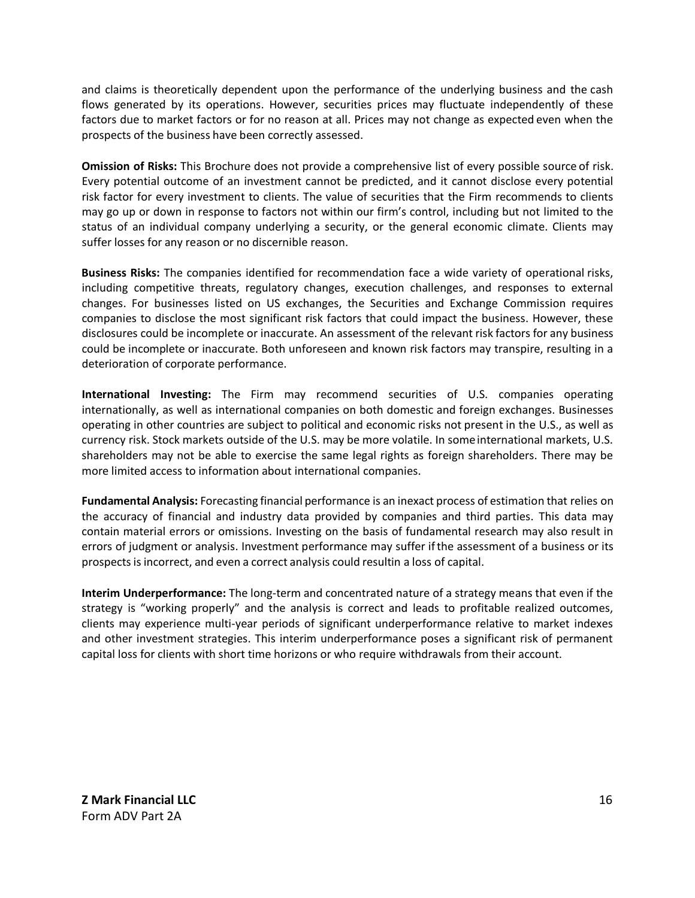and claims is theoretically dependent upon the performance of the underlying business and the cash flows generated by its operations. However, securities prices may fluctuate independently of these factors due to market factors or for no reason at all. Prices may not change as expected even when the prospects of the business have been correctly assessed.

**Omission of Risks:** This Brochure does not provide a comprehensive list of every possible source of risk. Every potential outcome of an investment cannot be predicted, and it cannot disclose every potential risk factor for every investment to clients. The value of securities that the Firm recommends to clients may go up or down in response to factors not within our firm's control, including but not limited to the status of an individual company underlying a security, or the general economic climate. Clients may suffer losses for any reason or no discernible reason.

**Business Risks:** The companies identified for recommendation face a wide variety of operational risks, including competitive threats, regulatory changes, execution challenges, and responses to external changes. For businesses listed on US exchanges, the Securities and Exchange Commission requires companies to disclose the most significant risk factors that could impact the business. However, these disclosures could be incomplete or inaccurate. An assessment of the relevant risk factors for any business could be incomplete or inaccurate. Both unforeseen and known risk factors may transpire, resulting in a deterioration of corporate performance.

**International Investing:** The Firm may recommend securities of U.S. companies operating internationally, as well as international companies on both domestic and foreign exchanges. Businesses operating in other countries are subject to political and economic risks not present in the U.S., as well as currency risk. Stock markets outside of the U.S. may be more volatile. In someinternational markets, U.S. shareholders may not be able to exercise the same legal rights as foreign shareholders. There may be more limited access to information about international companies.

**Fundamental Analysis:** Forecasting financial performance is an inexact process of estimation that relies on the accuracy of financial and industry data provided by companies and third parties. This data may contain material errors or omissions. Investing on the basis of fundamental research may also result in errors of judgment or analysis. Investment performance may suffer ifthe assessment of a business or its prospectsisincorrect, and even a correct analysis could resultin a loss of capital.

**Interim Underperformance:** The long-term and concentrated nature of a strategy means that even if the strategy is "working properly" and the analysis is correct and leads to profitable realized outcomes, clients may experience multi-year periods of significant underperformance relative to market indexes and other investment strategies. This interim underperformance poses a significant risk of permanent capital loss for clients with short time horizons or who require withdrawals from their account.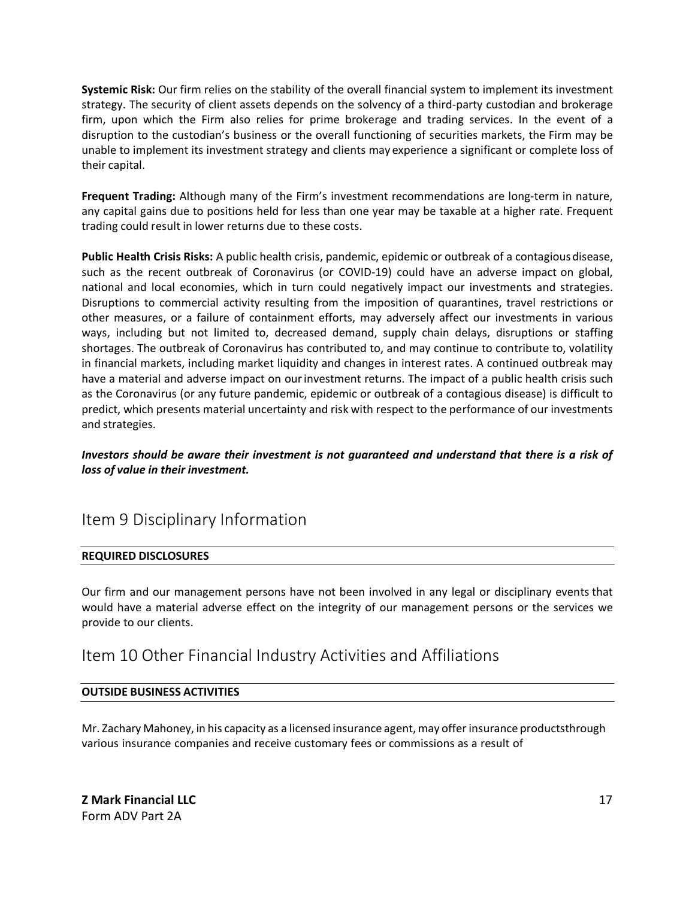**Systemic Risk:** Our firm relies on the stability of the overall financial system to implement its investment strategy. The security of client assets depends on the solvency of a third-party custodian and brokerage firm, upon which the Firm also relies for prime brokerage and trading services. In the event of a disruption to the custodian's business or the overall functioning of securities markets, the Firm may be unable to implement its investment strategy and clients may experience a significant or complete loss of their capital.

**Frequent Trading:** Although many of the Firm's investment recommendations are long-term in nature, any capital gains due to positions held for less than one year may be taxable at a higher rate. Frequent trading could result in lower returns due to these costs.

**Public Health Crisis Risks:** A public health crisis, pandemic, epidemic or outbreak of a contagiousdisease, such as the recent outbreak of Coronavirus (or COVID-19) could have an adverse impact on global, national and local economies, which in turn could negatively impact our investments and strategies. Disruptions to commercial activity resulting from the imposition of quarantines, travel restrictions or other measures, or a failure of containment efforts, may adversely affect our investments in various ways, including but not limited to, decreased demand, supply chain delays, disruptions or staffing shortages. The outbreak of Coronavirus has contributed to, and may continue to contribute to, volatility in financial markets, including market liquidity and changes in interest rates. A continued outbreak may have a material and adverse impact on ourinvestment returns. The impact of a public health crisis such as the Coronavirus (or any future pandemic, epidemic or outbreak of a contagious disease) is difficult to predict, which presents material uncertainty and risk with respect to the performance of our investments and strategies.

### <span id="page-16-0"></span>*Investors should be aware their investment is not guaranteed and understand that there is a risk of loss of value in their investment.*

# Item 9 Disciplinary Information

### **REQUIRED DISCLOSURES**

Our firm and our management persons have not been involved in any legal or disciplinary events that would have a material adverse effect on the integrity of our management persons or the services we provide to our clients.

## <span id="page-16-1"></span>Item 10 Other Financial Industry Activities and Affiliations

### **OUTSIDE BUSINESS ACTIVITIES**

Mr. Zachary Mahoney, in his capacity as a licensed insurance agent, may offer insurance productsthrough various insurance companies and receive customary fees or commissions as a result of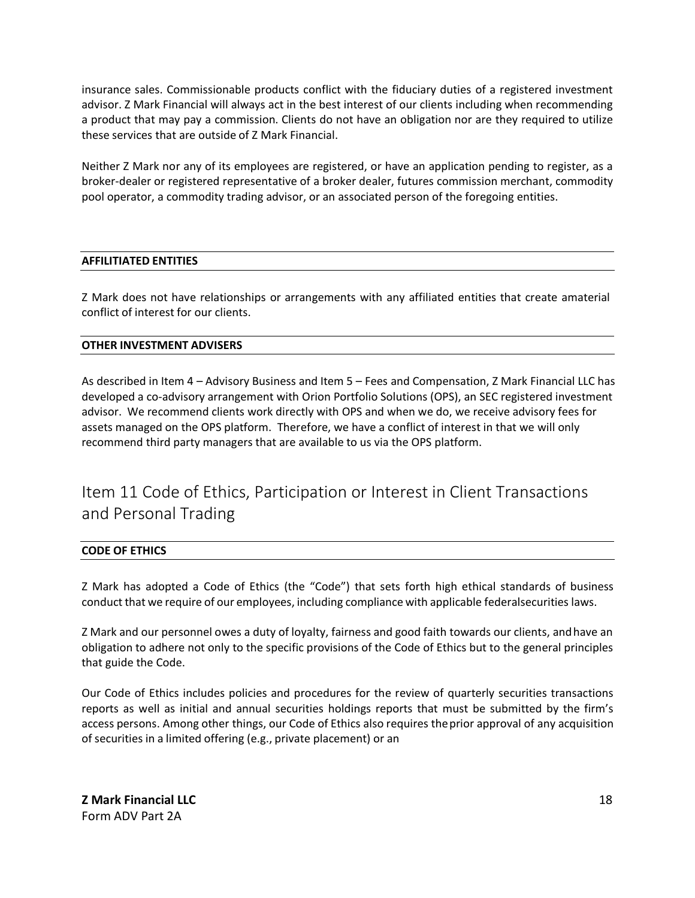insurance sales. Commissionable products conflict with the fiduciary duties of a registered investment advisor. Z Mark Financial will always act in the best interest of our clients including when recommending a product that may pay a commission. Clients do not have an obligation nor are they required to utilize these services that are outside of Z Mark Financial.

Neither Z Mark nor any of its employees are registered, or have an application pending to register, as a broker-dealer or registered representative of a broker dealer, futures commission merchant, commodity pool operator, a commodity trading advisor, or an associated person of the foregoing entities.

### **AFFILITIATED ENTITIES**

Z Mark does not have relationships or arrangements with any affiliated entities that create amaterial conflict of interest for our clients.

### **OTHER INVESTMENT ADVISERS**

As described in Item 4 – Advisory Business and Item 5 – Fees and Compensation, Z Mark Financial LLC has developed a co-advisory arrangement with Orion Portfolio Solutions (OPS), an SEC registered investment advisor. We recommend clients work directly with OPS and when we do, we receive advisory fees for assets managed on the OPS platform. Therefore, we have a conflict of interest in that we will only recommend third party managers that are available to us via the OPS platform.

# Item 11 Code of Ethics, Participation or Interest in Client Transactions and Personal Trading

#### **CODE OF ETHICS**

Z Mark has adopted a Code of Ethics (the "Code") that sets forth high ethical standards of business conduct that we require of our employees, including compliance with applicable federalsecurities laws.

Z Mark and our personnel owes a duty of loyalty, fairness and good faith towards our clients, andhave an obligation to adhere not only to the specific provisions of the Code of Ethics but to the general principles that guide the Code.

Our Code of Ethics includes policies and procedures for the review of quarterly securities transactions reports as well as initial and annual securities holdings reports that must be submitted by the firm's access persons. Among other things, our Code of Ethics also requires theprior approval of any acquisition of securities in a limited offering (e.g., private placement) or an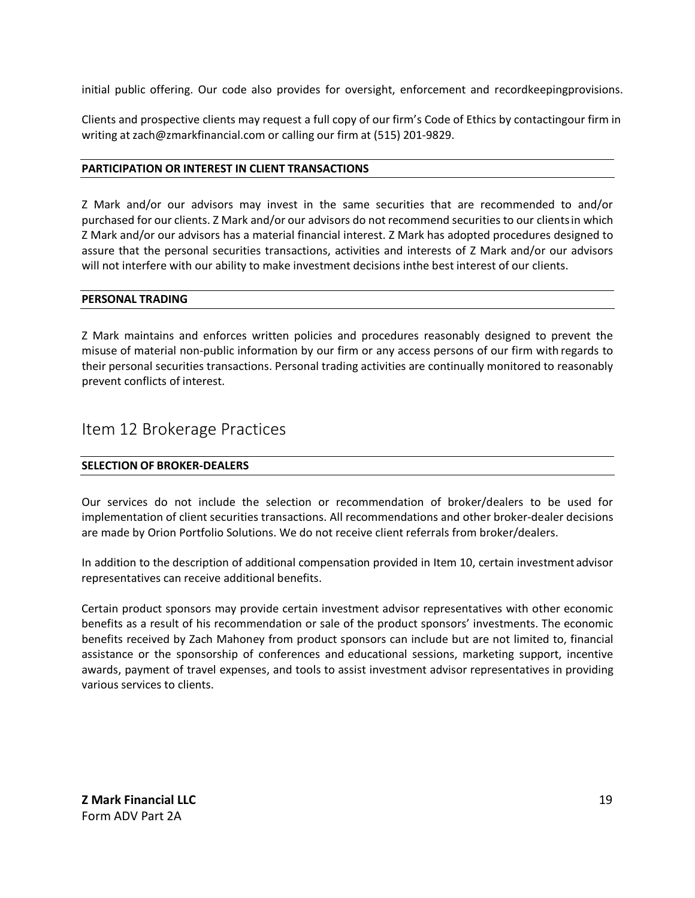initial public offering. Our code also provides for oversight, enforcement and recordkeepingprovisions.

Clients and prospective clients may request a full copy of our firm's Code of Ethics by contactingour firm in writing at [zach@zmarkfinancial.com o](mailto:zach@zmarkfinancial.com)r calling our firm at (515) 201-9829.

### **PARTICIPATION OR INTEREST IN CLIENT TRANSACTIONS**

Z Mark and/or our advisors may invest in the same securities that are recommended to and/or purchased for our clients. Z Mark and/or our advisors do not recommend securities to our clientsin which Z Mark and/or our advisors has a material financial interest. Z Mark has adopted procedures designed to assure that the personal securities transactions, activities and interests of Z Mark and/or our advisors will not interfere with our ability to make investment decisions inthe best interest of our clients.

#### **PERSONAL TRADING**

Z Mark maintains and enforces written policies and procedures reasonably designed to prevent the misuse of material non-public information by our firm or any access persons of our firm with regards to their personal securities transactions. Personal trading activities are continually monitored to reasonably prevent conflicts of interest.

### <span id="page-18-0"></span>Item 12 Brokerage Practices

### **SELECTION OF BROKER-DEALERS**

Our services do not include the selection or recommendation of broker/dealers to be used for implementation of client securities transactions. All recommendations and other broker-dealer decisions are made by Orion Portfolio Solutions. We do not receive client referrals from broker/dealers.

In addition to the description of additional compensation provided in Item 10, certain investment advisor representatives can receive additional benefits.

Certain product sponsors may provide certain investment advisor representatives with other economic benefits as a result of his recommendation or sale of the product sponsors' investments. The economic benefits received by Zach Mahoney from product sponsors can include but are not limited to, financial assistance or the sponsorship of conferences and educational sessions, marketing support, incentive awards, payment of travel expenses, and tools to assist investment advisor representatives in providing various services to clients.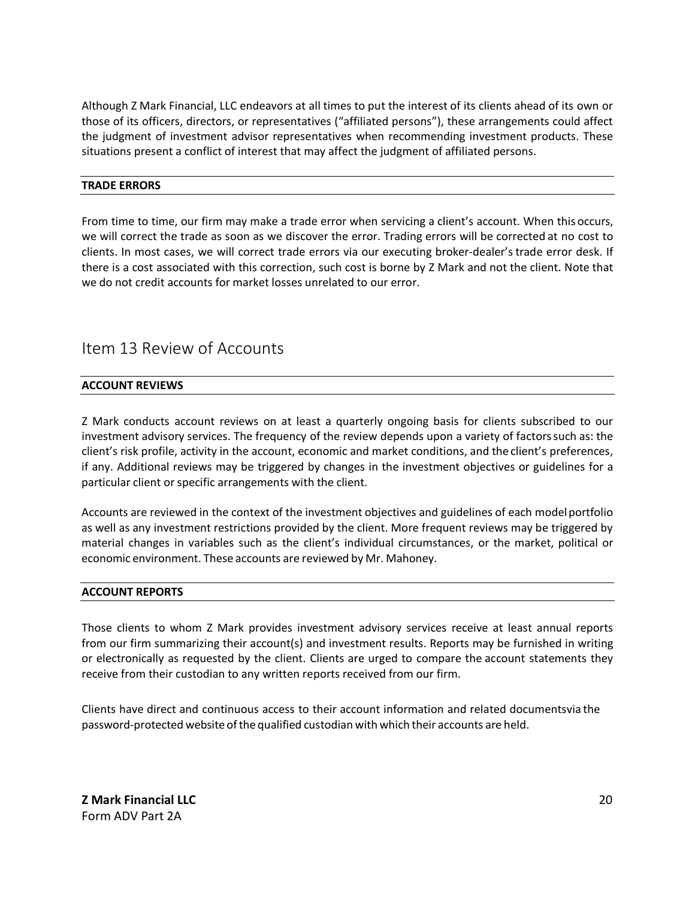Although Z Mark Financial, LLC endeavors at all times to put the interest of its clients ahead of its own or those of its officers, directors, or representatives ("affiliated persons"), these arrangements could affect the judgment of investment advisor representatives when recommending investment products. These situations present a conflict of interest that may affect the judgment of affiliated persons.

### **TRADE ERRORS**

From time to time, our firm may make a trade error when servicing a client's account. When this occurs, we will correct the trade as soon as we discover the error. Trading errors will be corrected at no cost to clients. In most cases, we will correct trade errors via our executing broker-dealer'strade error desk. If there is a cost associated with this correction, such cost is borne by Z Mark and not the client. Note that we do not credit accounts for market losses unrelated to our error.

## <span id="page-19-0"></span>Item 13 Review of Accounts

### **ACCOUNT REVIEWS**

Z Mark conducts account reviews on at least a quarterly ongoing basis for clients subscribed to our investment advisory services. The frequency of the review depends upon a variety of factorssuch as: the client's risk profile, activity in the account, economic and market conditions, and the client's preferences, if any. Additional reviews may be triggered by changes in the investment objectives or guidelines for a particular client or specific arrangements with the client.

Accounts are reviewed in the context of the investment objectives and guidelines of each modelportfolio as well as any investment restrictions provided by the client. More frequent reviews may be triggered by material changes in variables such as the client's individual circumstances, or the market, political or economic environment. These accounts are reviewed by Mr. Mahoney.

#### **ACCOUNT REPORTS**

Those clients to whom Z Mark provides investment advisory services receive at least annual reports from our firm summarizing their account(s) and investment results. Reports may be furnished in writing or electronically as requested by the client. Clients are urged to compare the account statements they receive from their custodian to any written reports received from our firm.

Clients have direct and continuous access to their account information and related documentsvia the password-protected website ofthe qualified custodian with which their accounts are held.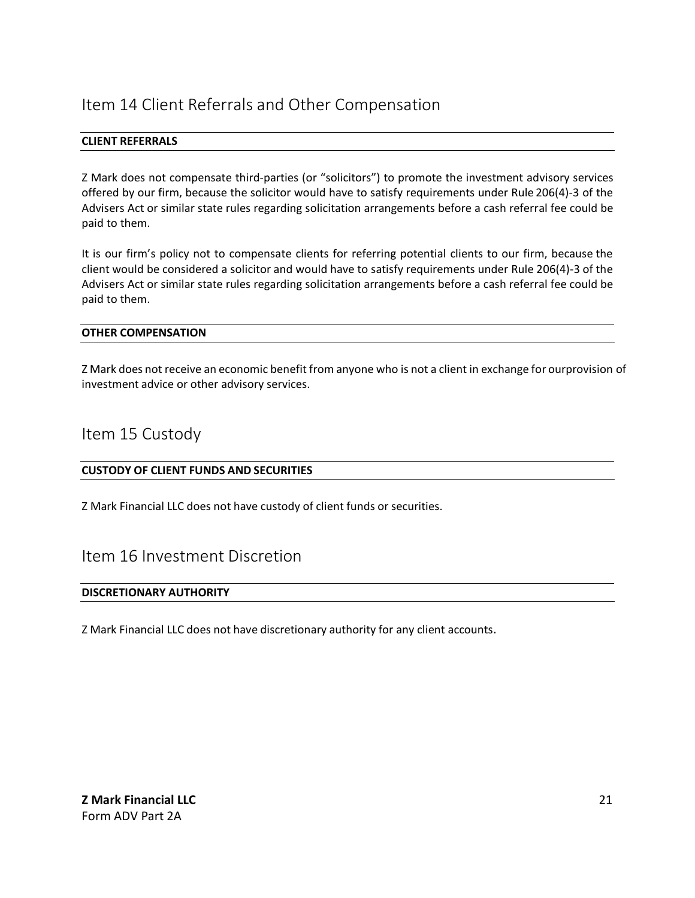# <span id="page-20-0"></span>Item 14 Client Referrals and Other Compensation

### **CLIENT REFERRALS**

Z Mark does not compensate third-parties (or "solicitors") to promote the investment advisory services offered by our firm, because the solicitor would have to satisfy requirements under Rule 206(4)-3 of the Advisers Act or similar state rules regarding solicitation arrangements before a cash referral fee could be paid to them.

It is our firm's policy not to compensate clients for referring potential clients to our firm, because the client would be considered a solicitor and would have to satisfy requirements under Rule 206(4)-3 of the Advisers Act or similar state rules regarding solicitation arrangements before a cash referral fee could be paid to them.

### **OTHER COMPENSATION**

Z Mark does not receive an economic benefit from anyone who is not a client in exchange for ourprovision of investment advice or other advisory services.

## <span id="page-20-1"></span>Item 15 Custody

### **CUSTODY OF CLIENT FUNDS AND SECURITIES**

Z Mark Financial LLC does not have custody of client funds or securities.

## <span id="page-20-2"></span>Item 16 Investment Discretion

#### **DISCRETIONARY AUTHORITY**

<span id="page-20-3"></span>Z Mark Financial LLC does not have discretionary authority for any client accounts.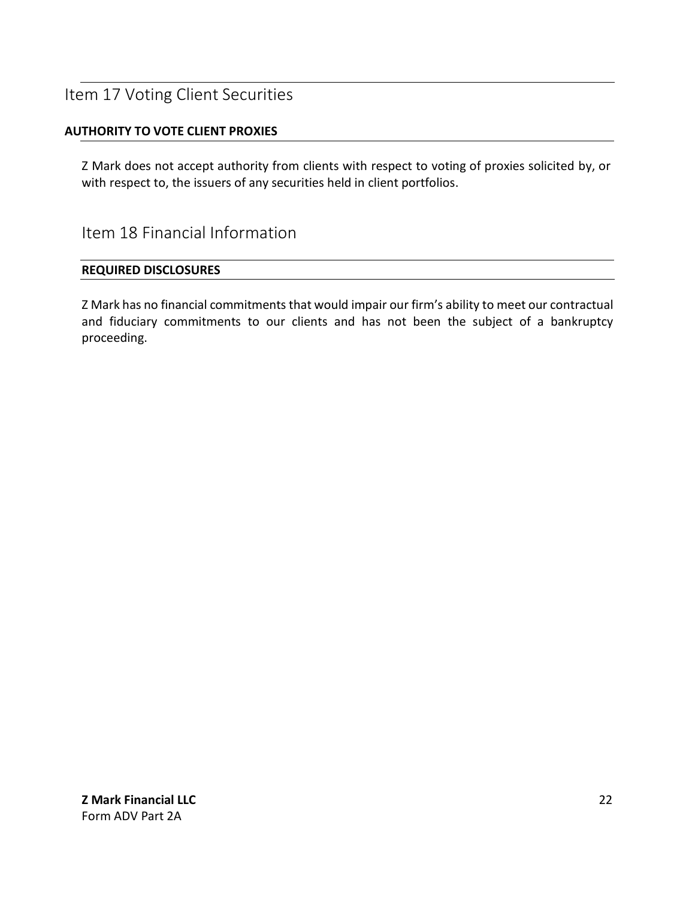# Item 17 Voting Client Securities

### **AUTHORITY TO VOTE CLIENT PROXIES**

Z Mark does not accept authority from clients with respect to voting of proxies solicited by, or with respect to, the issuers of any securities held in client portfolios.

<span id="page-21-0"></span>Item 18 Financial Information

### **REQUIRED DISCLOSURES**

Z Mark has no financial commitments that would impair our firm's ability to meet our contractual and fiduciary commitments to our clients and has not been the subject of a bankruptcy proceeding.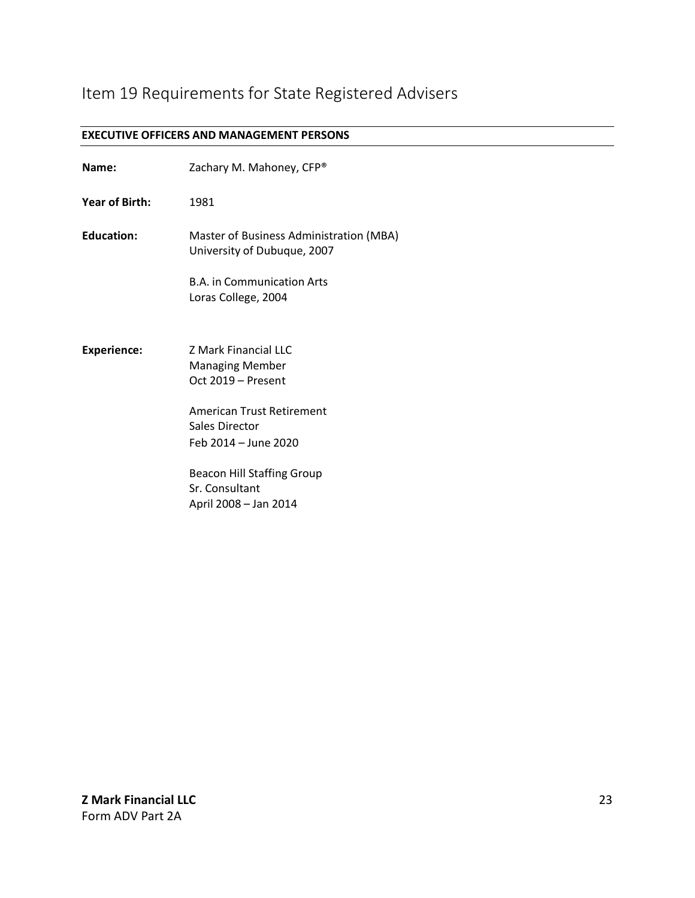# Item 19 Requirements for State Registered Advisers

#### **EXECUTIVE OFFICERS AND MANAGEMENT PERSONS**

| Name:                 | Zachary M. Mahoney, CFP®                                                                                                                                                                                                           |
|-----------------------|------------------------------------------------------------------------------------------------------------------------------------------------------------------------------------------------------------------------------------|
| <b>Year of Birth:</b> | 1981                                                                                                                                                                                                                               |
| <b>Education:</b>     | Master of Business Administration (MBA)<br>University of Dubuque, 2007                                                                                                                                                             |
|                       | <b>B.A. in Communication Arts</b><br>Loras College, 2004                                                                                                                                                                           |
| <b>Experience:</b>    | <b>Z Mark Financial LLC</b><br><b>Managing Member</b><br>Oct 2019 - Present<br>American Trust Retirement<br>Sales Director<br>Feb 2014 – June 2020<br><b>Beacon Hill Staffing Group</b><br>Sr. Consultant<br>April 2008 - Jan 2014 |
|                       |                                                                                                                                                                                                                                    |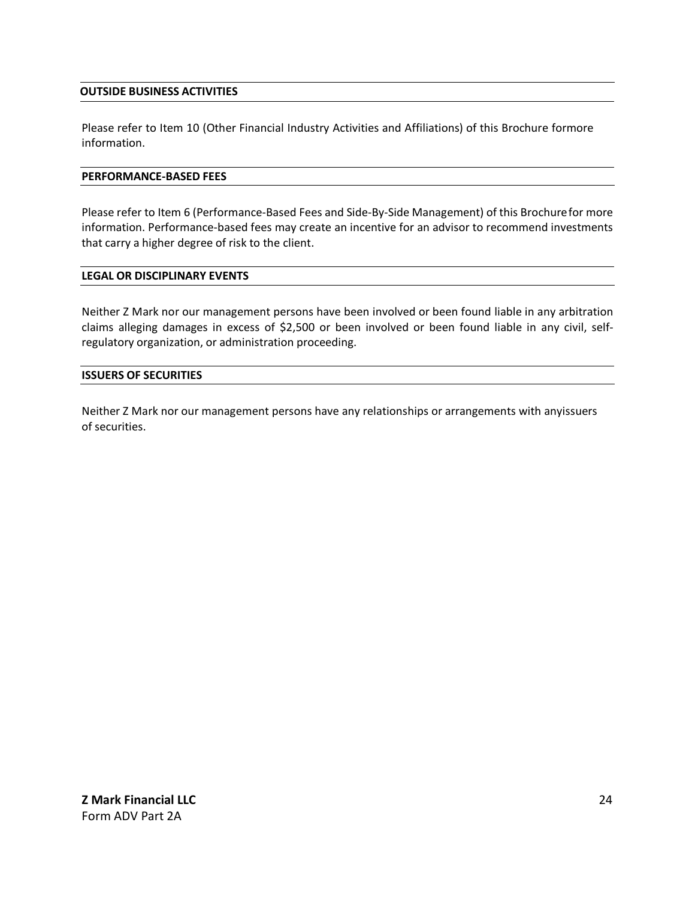### **OUTSIDE BUSINESS ACTIVITIES**

Please refer to Item 10 (Other Financial Industry Activities and Affiliations) of this Brochure formore information.

#### **PERFORMANCE-BASED FEES**

Please refer to Item 6 (Performance-Based Fees and Side-By-Side Management) of this Brochurefor more information. Performance-based fees may create an incentive for an advisor to recommend investments that carry a higher degree of risk to the client.

#### **LEGAL OR DISCIPLINARY EVENTS**

Neither Z Mark nor our management persons have been involved or been found liable in any arbitration claims alleging damages in excess of \$2,500 or been involved or been found liable in any civil, selfregulatory organization, or administration proceeding.

### **ISSUERS OF SECURITIES**

Neither Z Mark nor our management persons have any relationships or arrangements with anyissuers of securities.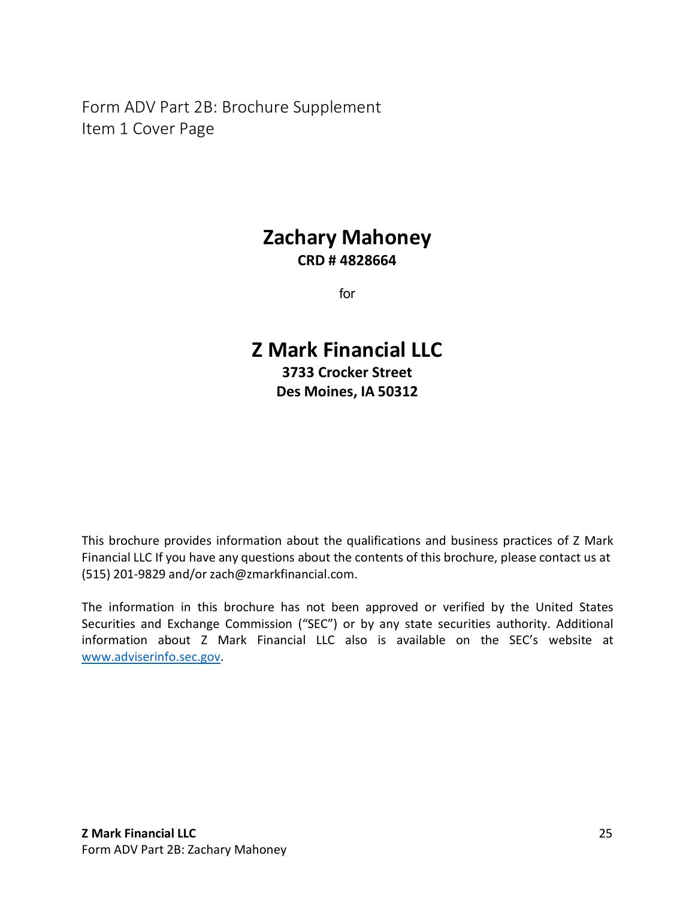<span id="page-24-0"></span>Form ADV Part 2B: Brochure Supplement Item 1 Cover Page

# **Zachary Mahoney CRD # 4828664**

for

# **Z Mark Financial LLC 3733 Crocker Street Des Moines, IA 50312**

This brochure provides information about the qualifications and business practices of Z Mark Financial LLC If you have any questions about the contents of this brochure, please contact us at (515) 201-9829 and/or [zach@zmarkfinancial.com.](mailto:zach@zmarkfinancial.com)

The information in this brochure has not been approved or verified by the United States Securities and Exchange Commission ("SEC") or by any state securities authority. Additional information about Z Mark Financial LLC also is available on the SEC's website at [www.adviserinfo.sec.gov.](http://www.adviserinfo.sec.gov/)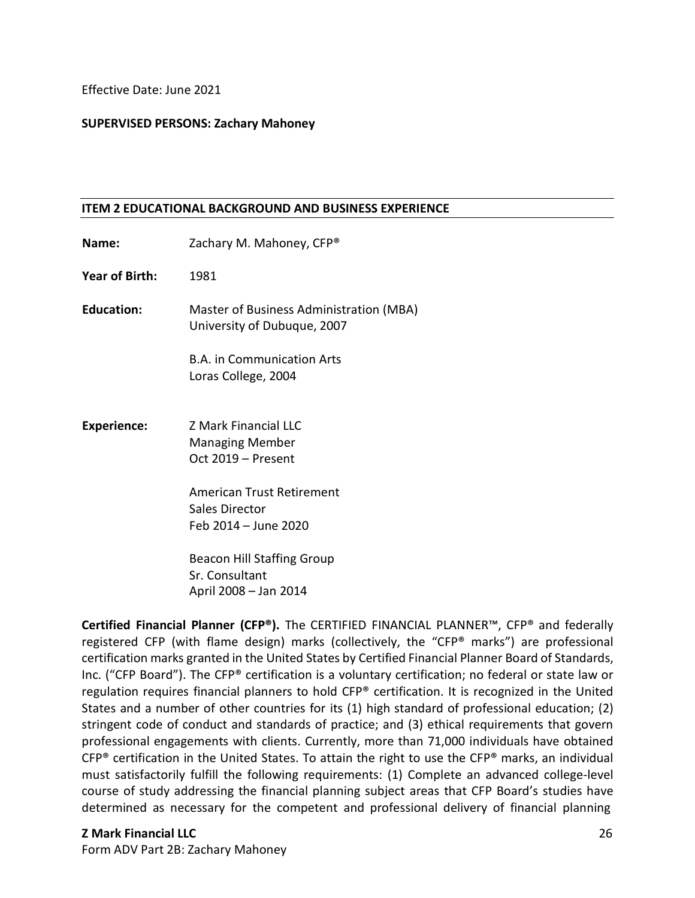Effective Date: June 2021

### **SUPERVISED PERSONS: Zachary Mahoney**

### **ITEM 2 EDUCATIONAL BACKGROUND AND BUSINESS EXPERIENCE**

**Name:** Zachary M. Mahoney, CFP<sup>®</sup> **Year of Birth:** 1981 **Education:** Master of Business Administration (MBA) University of Dubuque, 2007 B.A. in Communication Arts Loras College, 2004 **Experience:** Z Mark Financial LLC Managing Member Oct 2019 – Present American Trust Retirement Sales Director Feb 2014 – June 2020 Beacon Hill Staffing Group Sr. Consultant April 2008 – Jan 2014

**Certified Financial Planner (CFP®).** The CERTIFIED FINANCIAL PLANNER™, CFP® and federally registered CFP (with flame design) marks (collectively, the "CFP® marks") are professional certification marks granted in the United States by Certified Financial Planner Board of Standards, Inc. ("CFP Board"). The CFP® certification is a voluntary certification; no federal or state law or regulation requires financial planners to hold CFP® certification. It is recognized in the United States and a number of other countries for its (1) high standard of professional education; (2) stringent code of conduct and standards of practice; and (3) ethical requirements that govern professional engagements with clients. Currently, more than 71,000 individuals have obtained  $CFP<sup>®</sup>$  certification in the United States. To attain the right to use the CFP<sup>®</sup> marks, an individual must satisfactorily fulfill the following requirements: (1) Complete an advanced college-level course of study addressing the financial planning subject areas that CFP Board's studies have determined as necessary for the competent and professional delivery of financial planning

### **Z Mark Financial LLC**

Form ADV Part 2B: Zachary Mahoney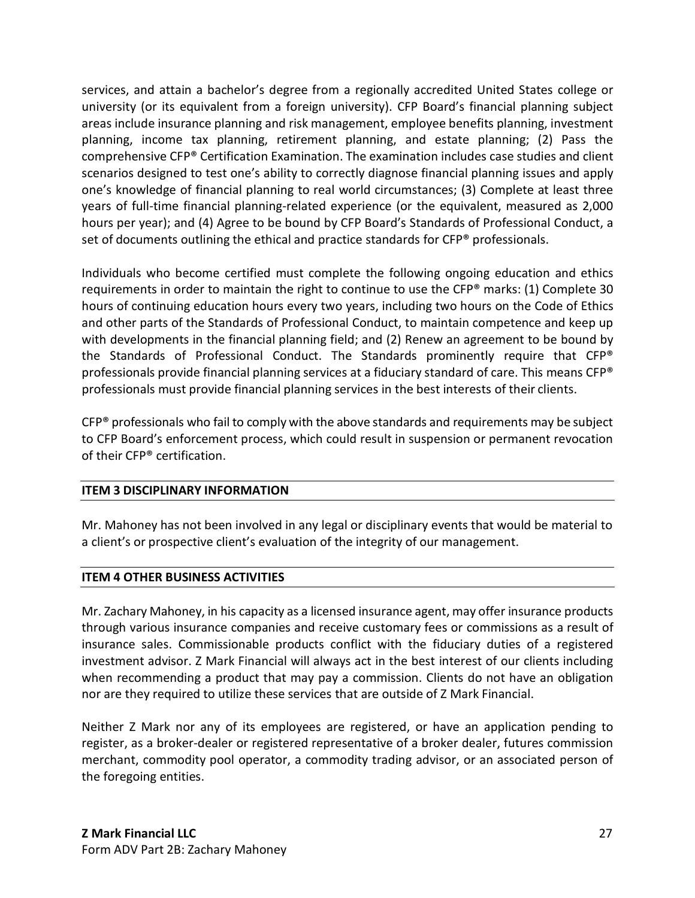services, and attain a bachelor's degree from a regionally accredited United States college or university (or its equivalent from a foreign university). CFP Board's financial planning subject areas include insurance planning and risk management, employee benefits planning, investment planning, income tax planning, retirement planning, and estate planning; (2) Pass the comprehensive CFP® Certification Examination. The examination includes case studies and client scenarios designed to test one's ability to correctly diagnose financial planning issues and apply one's knowledge of financial planning to real world circumstances; (3) Complete at least three years of full-time financial planning-related experience (or the equivalent, measured as 2,000 hours per year); and (4) Agree to be bound by CFP Board's Standards of Professional Conduct, a set of documents outlining the ethical and practice standards for CFP® professionals.

Individuals who become certified must complete the following ongoing education and ethics requirements in order to maintain the right to continue to use the CFP® marks: (1) Complete 30 hours of continuing education hours every two years, including two hours on the Code of Ethics and other parts of the Standards of Professional Conduct, to maintain competence and keep up with developments in the financial planning field; and (2) Renew an agreement to be bound by the Standards of Professional Conduct. The Standards prominently require that CFP® professionals provide financial planning services at a fiduciary standard of care. This means CFP® professionals must provide financial planning services in the best interests of their clients.

CFP® professionals who fail to comply with the above standards and requirements may be subject to CFP Board's enforcement process, which could result in suspension or permanent revocation of their CFP® certification.

### **ITEM 3 DISCIPLINARY INFORMATION**

Mr. Mahoney has not been involved in any legal or disciplinary events that would be material to a client's or prospective client's evaluation of the integrity of our management.

### **ITEM 4 OTHER BUSINESS ACTIVITIES**

Mr. Zachary Mahoney, in his capacity as a licensed insurance agent, may offer insurance products through various insurance companies and receive customary fees or commissions as a result of insurance sales. Commissionable products conflict with the fiduciary duties of a registered investment advisor. Z Mark Financial will always act in the best interest of our clients including when recommending a product that may pay a commission. Clients do not have an obligation nor are they required to utilize these services that are outside of Z Mark Financial.

Neither Z Mark nor any of its employees are registered, or have an application pending to register, as a broker-dealer or registered representative of a broker dealer, futures commission merchant, commodity pool operator, a commodity trading advisor, or an associated person of the foregoing entities.